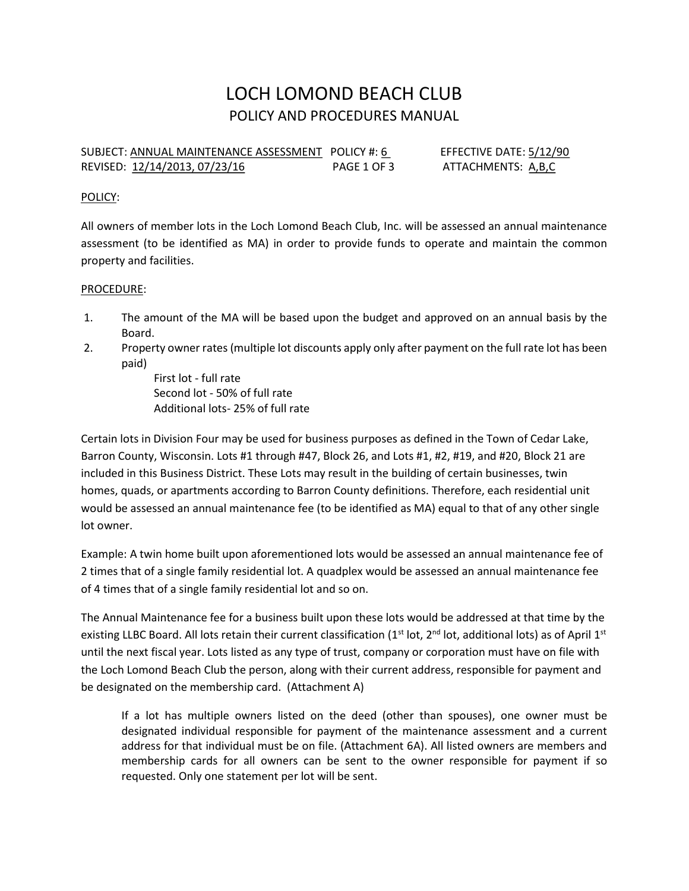# LOCH LOMOND BEACH CLUB POLICY AND PROCEDURES MANUAL

SUBJECT: ANNUAL MAINTENANCE ASSESSMENT POLICY #: 6 EFFECTIVE DATE: 5/12/90 REVISED: 12/14/2013, 07/23/16 PAGE 1 OF 3 ATTACHMENTS: A,B,C

#### POLICY:

All owners of member lots in the Loch Lomond Beach Club, Inc. will be assessed an annual maintenance assessment (to be identified as MA) in order to provide funds to operate and maintain the common property and facilities.

#### PROCEDURE:

- 1. The amount of the MA will be based upon the budget and approved on an annual basis by the Board.
- 2. Property owner rates (multiple lot discounts apply only after payment on the full rate lot has been paid)

First lot - full rate Second lot - 50% of full rate Additional lots- 25% of full rate

Certain lots in Division Four may be used for business purposes as defined in the Town of Cedar Lake, Barron County, Wisconsin. Lots #1 through #47, Block 26, and Lots #1, #2, #19, and #20, Block 21 are included in this Business District. These Lots may result in the building of certain businesses, twin homes, quads, or apartments according to Barron County definitions. Therefore, each residential unit would be assessed an annual maintenance fee (to be identified as MA) equal to that of any other single lot owner.

Example: A twin home built upon aforementioned lots would be assessed an annual maintenance fee of 2 times that of a single family residential lot. A quadplex would be assessed an annual maintenance fee of 4 times that of a single family residential lot and so on.

The Annual Maintenance fee for a business built upon these lots would be addressed at that time by the existing LLBC Board. All lots retain their current classification ( $1<sup>st</sup>$  lot,  $2<sup>nd</sup>$  lot, additional lots) as of April  $1<sup>st</sup>$ until the next fiscal year. Lots listed as any type of trust, company or corporation must have on file with the Loch Lomond Beach Club the person, along with their current address, responsible for payment and be designated on the membership card. (Attachment A)

If a lot has multiple owners listed on the deed (other than spouses), one owner must be designated individual responsible for payment of the maintenance assessment and a current address for that individual must be on file. (Attachment 6A). All listed owners are members and membership cards for all owners can be sent to the owner responsible for payment if so requested. Only one statement per lot will be sent.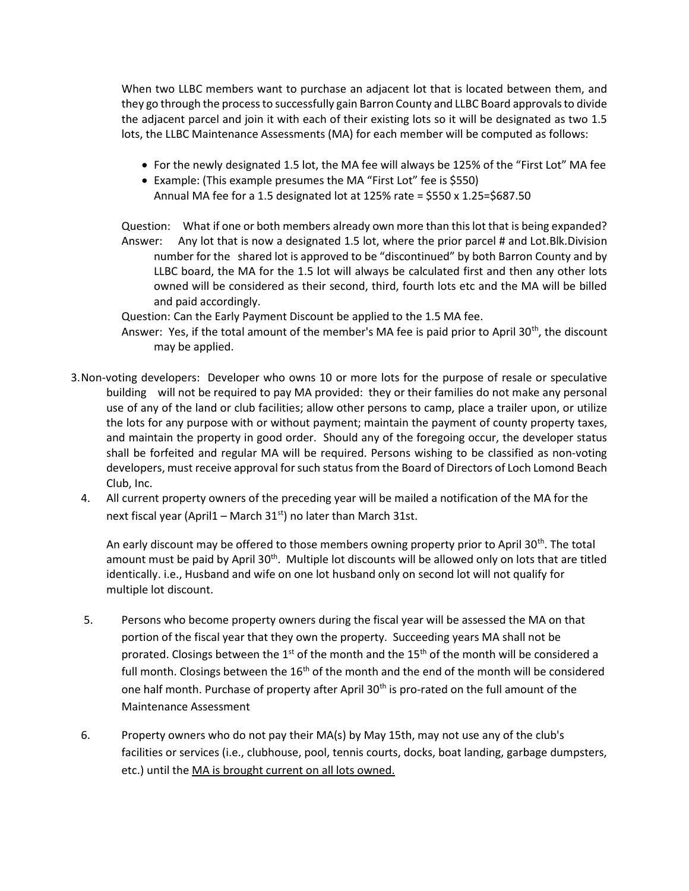When two LLBC members want to purchase an adjacent lot that is located between them, and they go through the process to successfully gain Barron County and LLBC Board approvals to divide the adjacent parcel and join it with each of their existing lots so it will be designated as two 1.5 lots, the LLBC Maintenance Assessments (MA) for each member will be computed as follows:

- For the newly designated 1.5 lot, the MA fee will always be 125% of the "First Lot" MA fee
- Example: (This example presumes the MA "First Lot" fee is \$550)
- Annual MA fee for a 1.5 designated lot at  $125\%$  rate = \$550 x  $1.25 = $687.50$

 Question: What if one or both members already own more than this lot that is being expanded? Answer: Any lot that is now a designated 1.5 lot, where the prior parcel # and Lot.Blk.Division number for the shared lot is approved to be "discontinued" by both Barron County and by LLBC board, the MA for the 1.5 lot will always be calculated first and then any other lots owned will be considered as their second, third, fourth lots etc and the MA will be billed and paid accordingly.

Question: Can the Early Payment Discount be applied to the 1.5 MA fee.

- Answer: Yes, if the total amount of the member's MA fee is paid prior to April 30<sup>th</sup>, the discount may be applied.
- 3.Non-voting developers: Developer who owns 10 or more lots for the purpose of resale or speculative building will not be required to pay MA provided: they or their families do not make any personal use of any of the land or club facilities; allow other persons to camp, place a trailer upon, or utilize the lots for any purpose with or without payment; maintain the payment of county property taxes, and maintain the property in good order. Should any of the foregoing occur, the developer status shall be forfeited and regular MA will be required. Persons wishing to be classified as non-voting developers, must receive approval for such status from the Board of Directors of Loch Lomond Beach Club, Inc.
	- 4. All current property owners of the preceding year will be mailed a notification of the MA for the next fiscal year (April1 – March  $31<sup>st</sup>$ ) no later than March 31st.

An early discount may be offered to those members owning property prior to April 30<sup>th</sup>. The total amount must be paid by April 30<sup>th</sup>. Multiple lot discounts will be allowed only on lots that are titled identically. i.e., Husband and wife on one lot husband only on second lot will not qualify for multiple lot discount.

- 5. Persons who become property owners during the fiscal year will be assessed the MA on that portion of the fiscal year that they own the property. Succeeding years MA shall not be prorated. Closings between the 1<sup>st</sup> of the month and the 15<sup>th</sup> of the month will be considered a full month. Closings between the  $16<sup>th</sup>$  of the month and the end of the month will be considered one half month. Purchase of property after April 30<sup>th</sup> is pro-rated on the full amount of the Maintenance Assessment
- 6. Property owners who do not pay their MA(s) by May 15th, may not use any of the club's facilities or services (i.e., clubhouse, pool, tennis courts, docks, boat landing, garbage dumpsters, etc.) until the MA is brought current on all lots owned.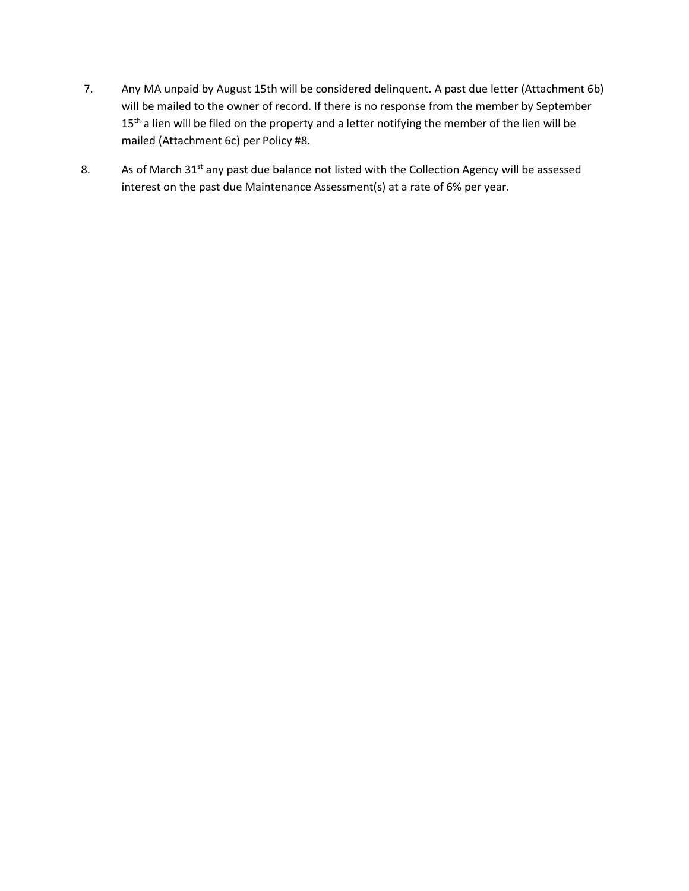- 7. Any MA unpaid by August 15th will be considered delinquent. A past due letter (Attachment 6b) will be mailed to the owner of record. If there is no response from the member by September 15<sup>th</sup> a lien will be filed on the property and a letter notifying the member of the lien will be mailed (Attachment 6c) per Policy #8.
- 8. As of March 31<sup>st</sup> any past due balance not listed with the Collection Agency will be assessed interest on the past due Maintenance Assessment(s) at a rate of 6% per year.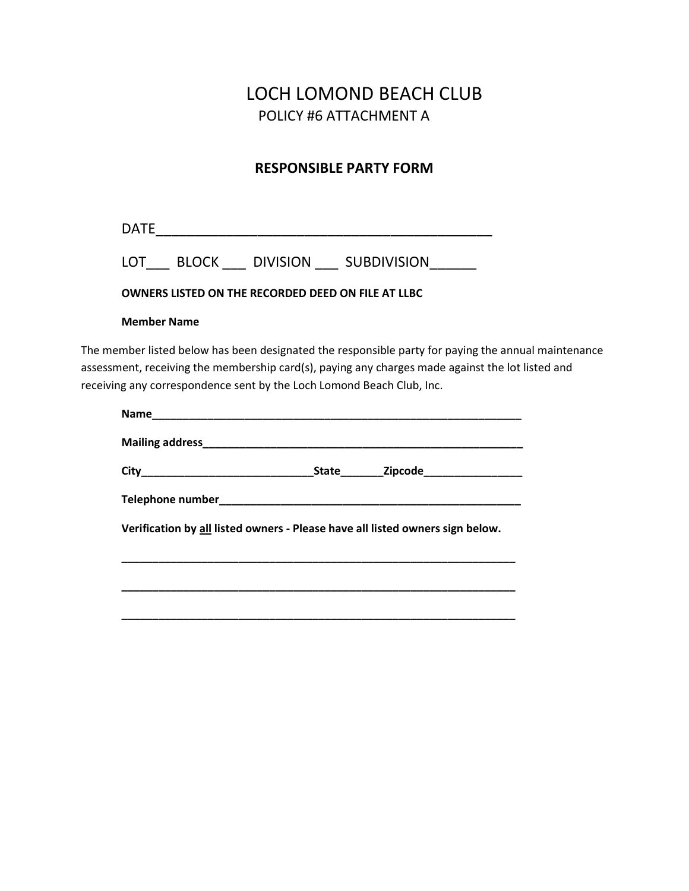# LOCH LOMOND BEACH CLUB POLICY #6 ATTACHMENT A

### RESPONSIBLE PARTY FORM

DATE\_\_\_\_\_\_\_\_\_\_\_\_\_\_\_\_\_\_\_\_\_\_\_\_\_\_\_\_\_\_\_\_\_\_\_\_\_\_\_\_\_\_\_

| LOT | <b>BLOCK</b> | <b>DIVISION</b> | <b>SUBDIVISION</b> |
|-----|--------------|-----------------|--------------------|
|     |              |                 |                    |

#### OWNERS LISTED ON THE RECORDED DEED ON FILE AT LLBC

#### Member Name

The member listed below has been designated the responsible party for paying the annual maintenance assessment, receiving the membership card(s), paying any charges made against the lot listed and receiving any correspondence sent by the Loch Lomond Beach Club, Inc.

|                                                                               | State <b>Zipcode Example 21</b> |  |
|-------------------------------------------------------------------------------|---------------------------------|--|
|                                                                               |                                 |  |
| Verification by all listed owners - Please have all listed owners sign below. |                                 |  |
|                                                                               |                                 |  |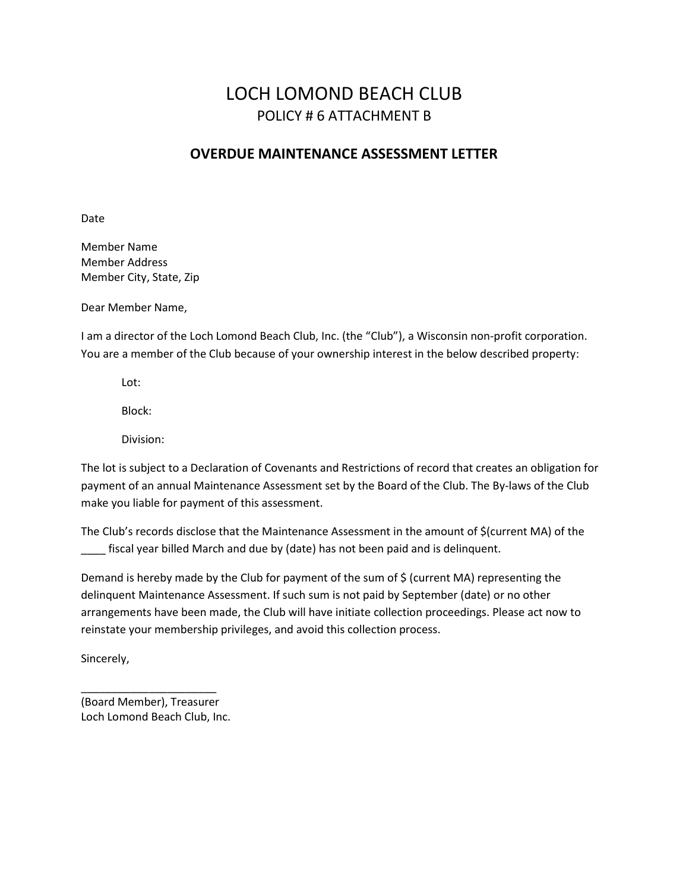## LOCH LOMOND BEACH CLUB POLICY # 6 ATTACHMENT B

### OVERDUE MAINTENANCE ASSESSMENT LETTER

Date

Member Name Member Address Member City, State, Zip

Dear Member Name,

I am a director of the Loch Lomond Beach Club, Inc. (the "Club"), a Wisconsin non-profit corporation. You are a member of the Club because of your ownership interest in the below described property:

Lot:

Block:

Division:

The lot is subject to a Declaration of Covenants and Restrictions of record that creates an obligation for payment of an annual Maintenance Assessment set by the Board of the Club. The By-laws of the Club make you liable for payment of this assessment.

The Club's records disclose that the Maintenance Assessment in the amount of \$(current MA) of the fiscal year billed March and due by (date) has not been paid and is delinquent.

Demand is hereby made by the Club for payment of the sum of \$ (current MA) representing the delinquent Maintenance Assessment. If such sum is not paid by September (date) or no other arrangements have been made, the Club will have initiate collection proceedings. Please act now to reinstate your membership privileges, and avoid this collection process.

Sincerely,

(Board Member), Treasurer Loch Lomond Beach Club, Inc.

\_\_\_\_\_\_\_\_\_\_\_\_\_\_\_\_\_\_\_\_\_\_